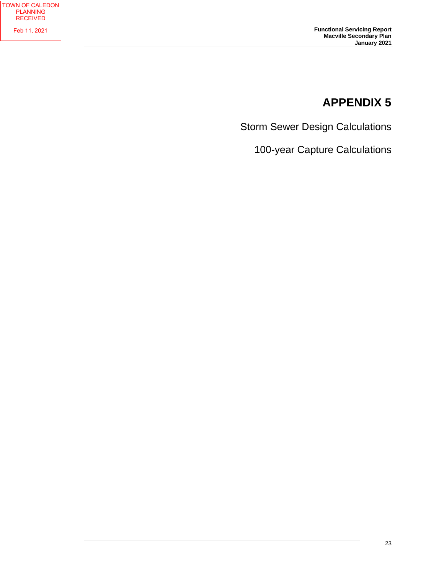## **APPENDIX 5**

Storm Sewer Design Calculations

100-year Capture Calculations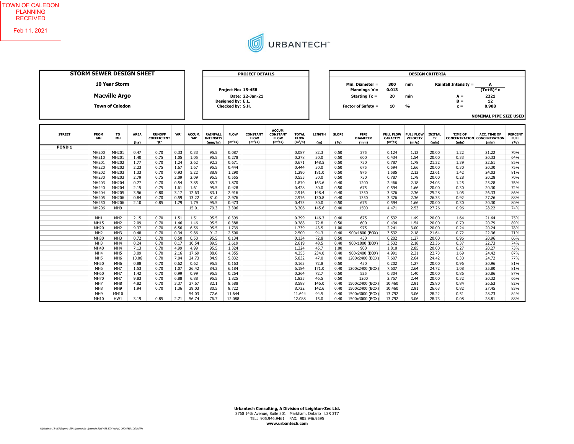

| STORM SEWER DESIGN SHEET |                   |                                                                        |                     |                                            |      |                | <b>PROJECT DETAILS</b>                         |                                                             |                                             |                                                       |                                          | <b>DESIGN CRITERIA</b> |                       |                                                                                |                                                  |                                       |                               |                                                               |                                                                            |                                      |
|--------------------------|-------------------|------------------------------------------------------------------------|---------------------|--------------------------------------------|------|----------------|------------------------------------------------|-------------------------------------------------------------|---------------------------------------------|-------------------------------------------------------|------------------------------------------|------------------------|-----------------------|--------------------------------------------------------------------------------|--------------------------------------------------|---------------------------------------|-------------------------------|---------------------------------------------------------------|----------------------------------------------------------------------------|--------------------------------------|
|                          |                   | <b>10 Year Storm</b><br><b>Macville Argo</b><br><b>Town of Caledon</b> |                     |                                            |      |                |                                                | Project No: 15-458<br>Designed by: E.L.<br>Checked by: S.H. | Date: 22-Jan-21                             |                                                       |                                          |                        |                       | Min. Diameter =<br>Mannings 'n'=<br>Starting Tc =<br><b>Factor of Safety =</b> | 300<br>0.013<br>20<br>10                         | mm<br>min<br>$\frac{0}{0}$            |                               | <b>Rainfall Intensity =</b><br>$A =$<br>$B =$<br>$c =$        | A<br>$(Tc+B)^{A}c$<br>2221<br>12<br>0.908<br><b>NOMINAL PIPE SIZE USED</b> |                                      |
|                          |                   |                                                                        |                     |                                            |      |                |                                                |                                                             |                                             |                                                       |                                          |                        |                       |                                                                                |                                                  |                                       |                               |                                                               |                                                                            |                                      |
| <b>STREET</b>            | <b>FROM</b><br>MH | TO<br>MH                                                               | <b>AREA</b><br>(ha) | <b>RUNOFF</b><br><b>COEFFICIENT</b><br>"R" | 'AR' | ACCUM.<br>'AR' | <b>RAINFALL</b><br><b>INTENSITY</b><br>(mm/hr) | <b>FLOW</b><br>$(m^3/s)$                                    | <b>CONSTANT</b><br><b>FLOW</b><br>$(m^3/s)$ | ACCUM.<br><b>CONSTANT</b><br><b>FLOW</b><br>$(m^3/s)$ | <b>TOTAL</b><br><b>FLOW</b><br>$(m^3/s)$ | <b>LENGTH</b><br>(m)   | <b>SLOPE</b><br>(9/6) | <b>PIPE</b><br><b>DIAMETER</b><br>(mm)                                         | <b>FULL FLOW</b><br><b>CAPACITY</b><br>$(m^3/s)$ | <b>FULL FLOW</b><br>VELOCITY<br>(m/s) | <b>INITIAL</b><br>Tc<br>(min) | <b>TIME OF</b><br><b>CONCENTRATION CONCENTRATION</b><br>(min) | <b>ACC. TIME OF</b><br>(min)                                               | <b>PERCENT</b><br><b>FULL</b><br>(%) |
| POND <sub>1</sub>        |                   |                                                                        |                     |                                            |      |                |                                                |                                                             |                                             |                                                       |                                          |                        |                       |                                                                                |                                                  |                                       |                               |                                                               |                                                                            |                                      |
|                          | MH200             | <b>MH201</b>                                                           | 0.47                | 0.70                                       | 0.33 | 0.33           | 95.5                                           | 0.087                                                       |                                             |                                                       | 0.087                                    | 82.3                   | 0.50                  | 375                                                                            | 0.124                                            | 1.12                                  | 20.00                         | 1.22                                                          | 21.22                                                                      | 70%                                  |
|                          | MH210             | MH201                                                                  | 1.40                | 0.75                                       | 1.05 | 1.05           | 95.5                                           | 0.278                                                       |                                             |                                                       | 0.278                                    | 30.0                   | 0.50                  | 600                                                                            | 0.434                                            | 1.54                                  | 20.00                         | 0.33                                                          | 20.33                                                                      | 64%                                  |
|                          | MH201             | MH202                                                                  | 1.77                | 0.70                                       | 1.24 | 2.62           | 92.3                                           | 0.671                                                       |                                             |                                                       | 0.671                                    | 148.5                  | 0.50                  | 750                                                                            | 0.787                                            | 1.78                                  | 21.22                         | 1.39                                                          | 22.61                                                                      | 85%                                  |
|                          | MH220             | MH202                                                                  | 2.23                | 0.75                                       | 1.67 | 1.67           | 95.5                                           | 0.444                                                       |                                             |                                                       | 0.444                                    | 30.0                   | 0.50                  | 675                                                                            | 0.594                                            | 1.66                                  | 20.00                         | 0.30                                                          | 20.30                                                                      | 75%                                  |
|                          | MH202             | <b>MH203</b>                                                           | 1.33                | 0.70                                       | 0.93 | 5.22           | 88.9                                           | 1.290                                                       |                                             |                                                       | 1.290                                    | 181.0                  | 0.50                  | 975                                                                            | 1.585                                            | 2.12                                  | 22.61                         | 1.42                                                          | 24.03                                                                      | 81%                                  |
|                          | MH230             | MH203                                                                  | 2.79                | 0.75                                       | 2.09 | 2.09           | 95.5                                           | 0.555                                                       |                                             |                                                       | 0.555                                    | 30.0                   | 0.50                  | 750                                                                            | 0.787                                            | 1.78                                  | 20.00                         | 0.28                                                          | 20.28                                                                      | 70%                                  |
|                          | MH203             | <b>MH204</b>                                                           | 0.77                | 0.70                                       | 0.54 | 7.85           | 85.7                                           | 1.870                                                       |                                             |                                                       | 1.870                                    | 163.6                  | 0.40                  | 1200                                                                           | 2.466                                            | 2.18                                  | 24.03                         | 1.25                                                          | 25.28                                                                      | 76%                                  |
|                          | MH240             | <b>MH204</b>                                                           | 2.15                | 0.75                                       | 1.61 | 1.61           | 95.5                                           | 0.428                                                       |                                             |                                                       | 0.428                                    | 30.0                   | 0.50                  | 675                                                                            | 0.594                                            | 1.66                                  | 20.00                         | 0.30                                                          | 20.30                                                                      | 72%                                  |
|                          | MH204             | MH205                                                                  | 3.96                | 0.80                                       | 3.17 | 12.63          | 83.1                                           | 2.916                                                       |                                             |                                                       | 2.916                                    | 148.4                  | 0.40                  | 1350                                                                           | 3.376                                            | 2.36                                  | 25.28                         | 1.05                                                          | 26.33                                                                      | 86%                                  |
|                          | MH205             | <b>MH206</b>                                                           | 0.84                | 0.70                                       | 0.59 | 13.22          | 81.0                                           | 2.976                                                       |                                             |                                                       | 2.976                                    | 130.8                  | 0.40                  | 1350                                                                           | 3.376                                            | 2.36                                  | 26.33                         | 0.92                                                          | 27.26                                                                      | 88%                                  |
|                          | MH250             | MH206                                                                  | 2.10                | 0.85                                       | 1.79 | 1.79           | 95.5                                           | 0.473                                                       |                                             |                                                       | 0.473                                    | 30.0                   | 0.50                  | 675                                                                            | 0.594                                            | 1.66                                  | 20.00                         | 0.30                                                          | 20.30                                                                      | 80%                                  |
|                          | MH206             | MH <sub>9</sub>                                                        |                     |                                            |      | 15.01          | 79.3                                           | 3.306                                                       |                                             |                                                       | 3.306                                    | 145.6                  | 0.40                  | 1500                                                                           | 4.471                                            | 2.53                                  | 27.26                         | 0.96                                                          | 28.22                                                                      | 74%                                  |
|                          | MH <sub>1</sub>   | MH <sub>2</sub>                                                        | 2.15                | 0.70                                       | 1.51 | 1.51           | 95.5                                           | 0.399                                                       |                                             |                                                       | 0.399                                    | 146.3                  | 0.40                  | 675                                                                            | 0.532                                            | 1.49                                  | 20.00                         | 1.64                                                          | 21.64                                                                      | 75%                                  |
|                          | MH15              | MH <sub>2</sub>                                                        | 2.09                | 0.70                                       | 1.46 | 1.46           | 95.5                                           | 0.388                                                       |                                             |                                                       | 0.388                                    | 72.8                   | 0.50                  | 600                                                                            | 0.434                                            | 1.54                                  | 20.00                         | 0.79                                                          | 20.79                                                                      | 89%                                  |
|                          | <b>MH20</b>       | MH <sub>2</sub>                                                        | 9.37                | 0.70                                       | 6.56 | 6.56           | 95.5                                           | 1.739                                                       |                                             |                                                       | 1.739                                    | 43.5                   | 1.00                  | 975                                                                            | 2.241                                            | 3.00                                  | 20.00                         | 0.24                                                          | 20.24                                                                      | 78%                                  |
|                          | MH <sub>2</sub>   | MH <sub>3</sub>                                                        | 0.48                | 0.70                                       | 0.34 | 9.86           | 91.2                                           | 2.500                                                       |                                             |                                                       | 2.500                                    | 94.3                   | 0.40                  | 900x1800 (BOX)                                                                 | 3.532                                            | 2.18                                  | 21.64                         | 0.72                                                          | 22.36                                                                      | 71%                                  |
|                          | MH30              | MH <sub>3</sub>                                                        | 0.72                | 0.70                                       | 0.50 | 0.50           | 95.5                                           | 0.134                                                       |                                             |                                                       | 0.134                                    | 72.8                   | 0.50                  | 450                                                                            | 0.202                                            | 1.27                                  | 20.00                         | 0.96                                                          | 20.96                                                                      | 66%                                  |
|                          | MH <sub>3</sub>   | MH <sub>4</sub>                                                        | 0.24                | 0.70                                       | 0.17 | 10.54          | 89.5                                           | 2.619                                                       |                                             |                                                       | 2.619                                    | 48.5                   | 0.40                  | 900x1800 (BOX)                                                                 | 3.532                                            | 2.18                                  | 22.36                         | 0.37                                                          | 22.73                                                                      | 74%                                  |
|                          | MH40              | MH <sub>4</sub>                                                        | 7.13                | 0.70                                       | 4.99 | 4.99           | 95.5                                           | 1.324                                                       |                                             |                                                       | 1.324                                    | 45.7                   | 1.00                  | 900                                                                            | 1.810                                            | 2.85                                  | 20.00                         | 0.27                                                          | 20.27                                                                      | 73%                                  |
|                          | MH <sub>4</sub>   | MH <sub>5</sub>                                                        | 3.09                | 0.70                                       | 2.16 | 17.69          | 88.6                                           | 4.355                                                       |                                             |                                                       | 4.355                                    | 234.0                  | 0.40                  | 900x2400 (BOX)                                                                 | 4.991                                            | 2.31                                  | 22.73                         | 1.69                                                          | 24.42                                                                      | 87%                                  |
|                          | MH <sub>5</sub>   | MH <sub>6</sub>                                                        | 10.06               | 0.70                                       | 7.04 | 24.73          | 84.9                                           | 5.832                                                       |                                             |                                                       | 5.832                                    | 47.0                   | 0.40                  | 1200x2400 (BOX)                                                                | 7.607                                            | 2.64                                  | 24.42                         | 0.30                                                          | 24.72                                                                      | 77%                                  |
|                          | <b>MH50</b>       | MH <sub>6</sub>                                                        | 0.88                | 0.70                                       | 0.62 | 0.62           | 95.5                                           | 0.163                                                       |                                             |                                                       | 0.163                                    | 72.8                   | 0.50                  | 450                                                                            | 0.202                                            | 1.27                                  | 20.00                         | 0.96                                                          | 20.96                                                                      | 81%                                  |
|                          | MH <sub>6</sub>   | MH <sub>7</sub>                                                        | 1.53                | 0.70                                       | 1.07 | 26.42          | 84.3                                           | 6.184                                                       |                                             |                                                       | 6.184                                    | 171.0                  | 0.40                  | 1200x2400 (BOX)                                                                | 7.607                                            | 2.64                                  | 24.72                         | 1.08                                                          | 25.80                                                                      | 81%                                  |
|                          | MH60              | MH <sub>7</sub>                                                        | 1.42                | 0.70                                       | 0.99 | 0.99           | 95.5                                           | 0.264                                                       |                                             |                                                       | 0.264                                    | 72.7                   | 0.50                  | 525                                                                            | 0.304                                            | 1.40                                  | 20.00                         | 0.86                                                          | 20.86                                                                      | 87%                                  |
|                          | <b>MH70</b>       | MH7                                                                    | 9.83                | 0.70                                       | 6.88 | 6.88           | 95.5                                           | 1.825                                                       |                                             |                                                       | 1.825                                    | 46.5                   | 0.50                  | 1200                                                                           | 2.757                                            | 2.44                                  | 20.00                         | 0.32                                                          | 20.32                                                                      | 66%                                  |
|                          | MH7               | MH <sub>8</sub>                                                        | 4.82                | 0.70                                       | 3.37 | 37.67          | 82.1                                           | 8.588                                                       |                                             |                                                       | 8.588                                    | 146.0                  | 0.40                  | 1500x2400 (BOX)                                                                | 10.460                                           | 2.91                                  | 25.80                         | 0.84                                                          | 26.63                                                                      | 82%                                  |
|                          | MH <sub>8</sub>   | MH <sub>9</sub>                                                        | 1.94                | 0.70                                       | 1.36 | 39.03          | 80.5                                           | 8.722                                                       |                                             |                                                       | 8.722                                    | 142.6                  | 0.40                  | 1500x2400 (BOX)                                                                | 10.460                                           | 2.91                                  | 26.63                         | 0.82                                                          | 27.45                                                                      | 83%                                  |
|                          | MH <sub>9</sub>   | MH10                                                                   |                     |                                            |      | 54.03          | 77.6                                           | 11.644                                                      |                                             |                                                       | 11.644                                   | 94.5                   | 0.40                  | 1500x3000 (BOX)                                                                | 13.792                                           | 3.06                                  | 28.22                         | 0.51                                                          | 28.73                                                                      | 84%                                  |

Urbantech Consulting, A Division of Leighton-Zec Ltd. 3760 14th Avenue, Suite 301 Markham, Ontario L3R 3T7 TEL: 905.946.9461 FAX: 905.946.9595 www.urbantech.com

0 MH10 HW1 3.19 0.85 2.71 56.74 76.7 12.088 0.000 0.000 12.088 15.0 0.40 1500x3000 (BOX) 13.792 3.06 28.73 0.08 28.81 88%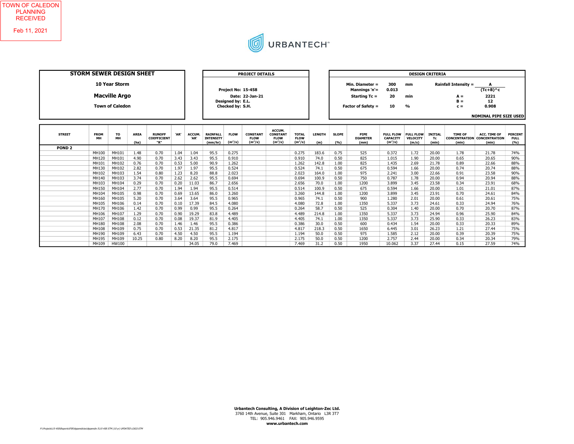

| <b>STORM SEWER DESIGN SHEET</b> |                   |                                                                        | <b>PROJECT DETAILS</b> |                                            |              |                |                                                |                                                             | <b>DESIGN CRITERIA</b>                      |                                                       |                                          |                      |                     |                                                                                       |                                                  |                                       |                               |                                                        |                                                                            |                                      |  |  |  |
|---------------------------------|-------------------|------------------------------------------------------------------------|------------------------|--------------------------------------------|--------------|----------------|------------------------------------------------|-------------------------------------------------------------|---------------------------------------------|-------------------------------------------------------|------------------------------------------|----------------------|---------------------|---------------------------------------------------------------------------------------|--------------------------------------------------|---------------------------------------|-------------------------------|--------------------------------------------------------|----------------------------------------------------------------------------|--------------------------------------|--|--|--|
|                                 |                   | <b>10 Year Storm</b><br><b>Macville Argo</b><br><b>Town of Caledon</b> |                        |                                            |              |                |                                                | Project No: 15-458<br>Designed by: E.L.<br>Checked by: S.H. | Date: 22-Jan-21                             |                                                       |                                          |                      |                     | Min. Diameter =<br>Mannings 'n'=<br><b>Starting Tc =</b><br><b>Factor of Safety =</b> | 300<br>0.013<br>20<br>10                         | mm<br>min<br>$\frac{9}{6}$            |                               | <b>Rainfall Intensity =</b><br>$A =$<br>$B =$<br>$c =$ | A<br>$(Tc+B)^{A}c$<br>2221<br>12<br>0.908<br><b>NOMINAL PIPE SIZE USED</b> |                                      |  |  |  |
| <b>STREET</b>                   | <b>FROM</b><br>MH | то<br>MH                                                               | <b>AREA</b><br>(ha)    | <b>RUNOFF</b><br><b>COEFFICIENT</b><br>"R" | 'AR'         | ACCUM.<br>'AR' | <b>RAINFALL</b><br><b>INTENSITY</b><br>(mm/hr) | <b>FLOW</b><br>$(m^3/s)$                                    | <b>CONSTANT</b><br><b>FLOW</b><br>$(m^3/s)$ | ACCUM.<br><b>CONSTANT</b><br><b>FLOW</b><br>$(m^3/s)$ | <b>TOTAL</b><br><b>FLOW</b><br>$(m^3/s)$ | <b>LENGTH</b><br>(m) | <b>SLOPE</b><br>(%) | <b>PIPE</b><br><b>DIAMETER</b><br>(mm)                                                | <b>FULL FLOW</b><br><b>CAPACITY</b><br>$(m^3/s)$ | <b>FULL FLOW</b><br>VELOCITY<br>(m/s) | <b>INITIAL</b><br>Tc<br>(min) | <b>TIME OF</b><br>(min)                                | <b>ACC. TIME OF</b><br><b>CONCENTRATION CONCENTRATION</b><br>(min)         | <b>PERCENT</b><br><b>FULL</b><br>(%) |  |  |  |
| POND <sub>2</sub>               |                   |                                                                        |                        |                                            |              |                |                                                |                                                             |                                             |                                                       |                                          |                      |                     |                                                                                       |                                                  |                                       |                               |                                                        |                                                                            |                                      |  |  |  |
|                                 | MH100             | MH101                                                                  | 1.48                   | 0.70                                       | 1.04         | 1.04           | 95.5                                           | 0.275                                                       |                                             |                                                       | 0.275                                    | 183.6                | 0.75                | 525                                                                                   | 0.372                                            | 1.72                                  | 20.00                         | 1.78                                                   | 21.78                                                                      | 74%                                  |  |  |  |
|                                 | MH120             | MH101                                                                  | 4.90                   | 0.70                                       | 3.43         | 3.43           | 95.5                                           | 0.910                                                       |                                             |                                                       | 0.910                                    | 74.0                 | 0.50                | 825                                                                                   | 1.015                                            | 1.90                                  | 20.00                         | 0.65                                                   | 20.65                                                                      | 90%                                  |  |  |  |
|                                 | MH101             | MH102                                                                  | 0.76                   | 0.70                                       | 0.53         | 5.00           | 90.9                                           | 1.262                                                       |                                             |                                                       | 1.262                                    | 142.8                | 1.00                | 825                                                                                   | 1.435                                            | 2.69                                  | 21.78                         | 0.89                                                   | 22.66                                                                      | 88%                                  |  |  |  |
|                                 | MH130             | MH102                                                                  | 2.82                   | 0.70                                       | 1.97         | 1.97           | 95.5                                           | 0.524                                                       |                                             |                                                       | 0.524                                    | 74.1                 | 0.50                | 675                                                                                   | 0.594                                            | 1.66                                  | 20.00                         | 0.74                                                   | 20.74                                                                      | 88%                                  |  |  |  |
|                                 | MH102             | MH103                                                                  | 1.54                   | 0.80                                       | 1.23         | 8.20           | 88.8                                           | 2.023                                                       |                                             |                                                       | 2.023                                    | 164.0                | 1.00                | 975                                                                                   | 2.241                                            | 3.00                                  | 22.66                         | 0.91                                                   | 23.58                                                                      | 90%                                  |  |  |  |
|                                 | MH140             | MH103                                                                  | 3.74                   | 0.70                                       | 2.62         | 2.62           | 95.5                                           | 0.694                                                       |                                             |                                                       | 0.694                                    | 100.9                | 0.50                | 750                                                                                   | 0.787                                            | 1.78                                  | 20.00                         | 0.94                                                   | 20.94                                                                      | 88%                                  |  |  |  |
|                                 | MH103             | MH104                                                                  | 0.29                   | 0.70                                       | 0.20         | 11.03          | 86.7                                           | 2.656                                                       |                                             |                                                       | 2.656                                    | 70.0                 | 1.00                | 1200                                                                                  | 3.899                                            | 3.45                                  | 23.58                         | 0.34                                                   | 23.91                                                                      | 68%                                  |  |  |  |
|                                 | MH150             | MH104                                                                  | 2.77<br>0.98           | 0.70                                       | 1.94         | 1.94           | 95.5                                           | 0.514                                                       |                                             |                                                       | 0.514                                    | 100.9<br>144.8       | 0.50                | 675                                                                                   | 0.594                                            | 1.66<br>3.45                          | 20.00<br>23.91                | 1.01<br>0.70                                           | 21.01<br>24.61                                                             | 87%<br>84%                           |  |  |  |
|                                 | MH104<br>MH160    | MH105<br>MH105                                                         | 5.20                   | 0.70<br>0.70                               | 0.69<br>3.64 | 13.65<br>3.64  | 86.0<br>95.5                                   | 3.260<br>0.965                                              |                                             |                                                       | 3.260                                    | 74.1                 | 1.00<br>0.50        | 1200<br>900                                                                           | 3.899<br>1.280                                   | 2.01                                  | 20.00                         | 0.61                                                   | 20.61                                                                      | 75%                                  |  |  |  |
|                                 |                   |                                                                        |                        |                                            |              |                |                                                |                                                             |                                             |                                                       | 0.965                                    |                      |                     |                                                                                       |                                                  |                                       |                               |                                                        |                                                                            |                                      |  |  |  |

 MH105 MH106 0.14 0.70 0.10 17.39 84.5 4.080 0.000 0.000 4.080 72.8 1.00 1350 5.337 3.73 24.61 0.33 24.94 76% MH170 MH106 1.42 0.70 0.99 0.99 95.5 0.264 0.000 0.000 0.264 58.7 0.50 525 0.304 1.40 20.00 0.70 20.70 87% MH106 MH107 1.29 0.70 0.90 19.29 83.8 4.489 0.000 0.000 4.489 214.8 1.00 1350 5.337 3.73 24.94 0.96 25.90 84% MH107 MH108 0.12 0.70 0.08 19.37 81.9 4.405 0.000 0.000 4.405 74.1 1.00 1350 5.337 3.73 25.90 0.33 26.23 83% MH180 MH108 2.08 0.70 1.46 1.46 95.5 0.386 0.000 0.000 0.386 30.0 0.50 600 0.434 1.54 20.00 0.33 20.33 89% MH108 MH109 0.75 0.70 0.53 21.35 81.2 4.817 0.000 0.000 4.817 218.3 0.50 1650 6.445 3.01 26.23 1.21 27.44 75%

0 MH109 HW100 0.00 0.00 0.00 34.05 79.0 7.469 0.000 0.000 7.469 31.2 0.50 1950 10.062 3.37 27.44 0.15 27.59 74%

MH190 MH109 6.43 0.70 4.50 4.50 95.5 1.194 1.194 1.194 50.0 0.50 975 1.585 2.12 20.00 0.39 20.39 75% MH195 MH109 10.25 0.80 8.20 8.20 95.5 2.175 0.000 0.000 2.175 50.0 0.50 1200 2.757 2.44 20.00 0.34 20.34 79%

> Urbantech Consulting, A Division of Leighton-Zec Ltd. 3760 14th Avenue, Suite 301 Markham, Ontario L3R 3T7 TEL: 905.946.9461 FAX: 905.946.9595 www.urbantech.com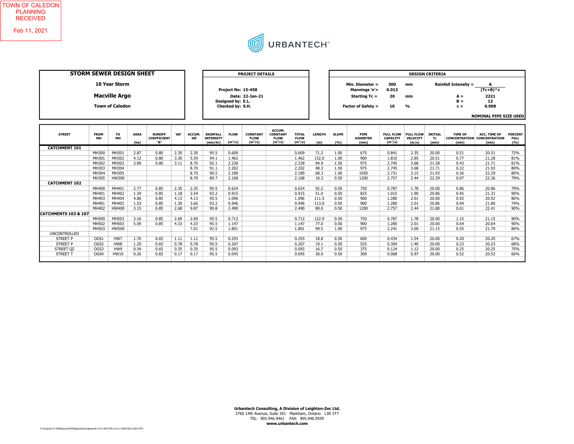

| <b>STORM SEWER DESIGN SHEET</b> |                   |                                                                        |                     |                                            |      |                | <b>PROJECT DETAILS</b>                         |                                                             |                                             |                                                       |                                          |                      | <b>DESIGN CRITERIA</b> |                                                                                       |                                                  |                                       |                               |                                                               |                                                                            |                                      |
|---------------------------------|-------------------|------------------------------------------------------------------------|---------------------|--------------------------------------------|------|----------------|------------------------------------------------|-------------------------------------------------------------|---------------------------------------------|-------------------------------------------------------|------------------------------------------|----------------------|------------------------|---------------------------------------------------------------------------------------|--------------------------------------------------|---------------------------------------|-------------------------------|---------------------------------------------------------------|----------------------------------------------------------------------------|--------------------------------------|
|                                 |                   | <b>10 Year Storm</b><br><b>Macville Argo</b><br><b>Town of Caledon</b> |                     |                                            |      |                |                                                | Project No: 15-458<br>Designed by: E.L.<br>Checked by: S.H. | Date: 22-Jan-21                             |                                                       |                                          |                      |                        | Min. Diameter =<br>Mannings 'n'=<br><b>Starting Tc =</b><br><b>Factor of Safety =</b> | 300<br>0.013<br>20<br>10                         | mm<br>min<br>$\frac{9}{6}$            |                               | <b>Rainfall Intensity =</b><br>$A =$<br>$B =$<br>$c =$        | A<br>$(Tc+B)^{A}c$<br>2221<br>12<br>0.908<br><b>NOMINAL PIPE SIZE USED</b> |                                      |
| <b>STREET</b>                   | <b>FROM</b><br>MH | то<br>MH                                                               | <b>AREA</b><br>(ha) | <b>RUNOFF</b><br><b>COEFFICIENT</b><br>"R" | 'AR' | ACCUM.<br>'AR' | <b>RAINFALL</b><br><b>INTENSITY</b><br>(mm/hr) | <b>FLOW</b><br>$(m^3/s)$                                    | <b>CONSTANT</b><br><b>FLOW</b><br>$(m^3/s)$ | ACCUM.<br><b>CONSTANT</b><br><b>FLOW</b><br>$(m^3/s)$ | <b>TOTAL</b><br><b>FLOW</b><br>$(m^3/s)$ | <b>LENGTH</b><br>(m) | <b>SLOPE</b><br>(%)    | <b>PIPE</b><br><b>DIAMETER</b><br>(mm)                                                | <b>FULL FLOW</b><br><b>CAPACITY</b><br>$(m^3/s)$ | <b>FULL FLOW</b><br>VELOCITY<br>(m/s) | <b>INITIAL</b><br>Tc<br>(min) | <b>TIME OF</b><br><b>CONCENTRATION CONCENTRATION</b><br>(min) | ACC. TIME OF<br>(min)                                                      | <b>PERCENT</b><br><b>FULL</b><br>(%) |
| <b>CATCHMENT 101</b>            |                   |                                                                        |                     |                                            |      |                |                                                |                                                             |                                             |                                                       |                                          |                      |                        |                                                                                       |                                                  |                                       |                               |                                                               |                                                                            |                                      |
|                                 | MH300             | MH301                                                                  | 2.87                | 0.80                                       | 2.30 | 2.30           | 95.5                                           | 0.609                                                       |                                             |                                                       | 0.609                                    | 71.2                 | 1.00                   | 675                                                                                   | 0.841                                            | 2.35                                  | 20.00                         | 0.51                                                          | 20.51                                                                      | 72%                                  |
|                                 | MH301             | MH302                                                                  | 4.12                | 0.80                                       | 3.30 | 5.59           | 94.1                                           | 1.462                                                       |                                             |                                                       | 1.462                                    | 132.0                | 1.00                   | 900                                                                                   | 1.810                                            | 2.85                                  | 20.51                         | 0.77                                                          | 21.28                                                                      | 81%                                  |
|                                 | MH302             | MH303                                                                  | 3.89                | 0.80                                       | 3.11 | 8.70           | 92.1                                           | 2.228                                                       |                                             |                                                       | 2.228                                    | 94.9                 | 1.50                   | 975                                                                                   | 2.745                                            | 3.68                                  | 21.28                         | 0.43                                                          | 21.71                                                                      | 81%                                  |
|                                 | MH303             | MH304                                                                  |                     |                                            |      | 8.70           | 91.1                                           | 2.202                                                       |                                             |                                                       | 2.202                                    | 48.3                 | 1.50                   | 975                                                                                   | 2.745                                            | 3.68                                  | 21.71                         | 0.22                                                          | 21.93                                                                      | 80%                                  |
|                                 | MH304             | MH305                                                                  |                     |                                            |      | 8.70           | 90.5                                           | 2.189                                                       |                                             |                                                       | 2.189                                    | 68.3                 | 1.00                   | 1050                                                                                  | 2.731                                            | 3.15                                  | 21.93                         | 0.36                                                          | 22.29                                                                      | 80%                                  |
|                                 | MH305             | HW300                                                                  |                     |                                            |      | 8.70           | 89.7                                           | 2.168                                                       |                                             |                                                       | 2.168                                    | 10.3                 | 0.50                   | 1200                                                                                  | 2.757                                            | 2.44                                  | 22.29                         | 0.07                                                          | 22.36                                                                      | 79%                                  |
| <b>CATCHMENT 102</b>            |                   |                                                                        |                     |                                            |      |                |                                                |                                                             |                                             |                                                       |                                          |                      |                        |                                                                                       |                                                  |                                       |                               |                                                               |                                                                            |                                      |
|                                 | MH400             | MH401                                                                  | 2.77                | 0.85                                       | 2.35 | 2.35           | 95.5                                           | 0.624                                                       |                                             |                                                       | 0.624                                    | 92.2                 | 0.50                   | 750                                                                                   | 0.787                                            | 1.78                                  | 20.00                         | 0.86                                                          | 20.86                                                                      | 79%                                  |
|                                 | MH401             | MH402                                                                  | 1.39                | 0.85                                       | 1.18 | 3.54           | 93.2                                           | 0.915                                                       |                                             |                                                       | 0.915                                    | 51.0                 | 0.50                   | 825                                                                                   | 1.015                                            | 1.90                                  | 20.86                         | 0.45                                                          | 21.31                                                                      | 90%                                  |
|                                 | MH403             | MH404                                                                  | 4.86                | 0.85                                       | 4.13 | 4.13           | 95.5                                           | 1.096                                                       |                                             |                                                       | 1.096                                    | 111.5                | 0.50                   | 900                                                                                   | 1.280                                            | 2.01                                  | 20.00                         | 0.92                                                          | 20.92                                                                      | 86%                                  |
|                                 | MH401             | MH402                                                                  | 1.53                | 0.85                                       | 1.30 | 3.66           | 93.2                                           | 0.946                                                       |                                             |                                                       | 0.946                                    | 113.0                | 0.50                   | 900                                                                                   | 1.280                                            | 2.01                                  | 20.86                         | 0.94                                                          | 21.80                                                                      | 74%                                  |
|                                 | MH402             | HW400                                                                  | 3.15                | 0.85                                       | 2.68 | 9.87           | 90.8                                           | 2.490                                                       |                                             |                                                       | 2.490                                    | 89.0                 | 0.50                   | 1200                                                                                  | 2.757                                            | 2.44                                  | 21.80                         | 0.61                                                          | 22.41                                                                      | 90%                                  |
| <b>CATCHMENTS 103 &amp; 107</b> |                   |                                                                        |                     |                                            |      |                |                                                |                                                             |                                             |                                                       |                                          |                      |                        |                                                                                       |                                                  |                                       |                               |                                                               |                                                                            |                                      |
|                                 | MH500             | MH503                                                                  | 3.16                | 0.85                                       | 2.69 | 2.69           | 95.5                                           | 0.712                                                       |                                             |                                                       | 0.712                                    | 122.9                | 0.50                   | 750                                                                                   | 0.787                                            | 1.78                                  | 20.00                         | 1.15                                                          | 21.15                                                                      | 90%                                  |
|                                 | MH502             | MH503                                                                  | 5.09                | 0.85                                       | 4.33 | 4.33           | 95.5                                           | 1.147                                                       |                                             |                                                       | 1.147                                    | 77.0                 | 0.50                   | 900                                                                                   | 1.280                                            | 2.01                                  | 20.00                         | 0.64                                                          | 20.64                                                                      | 90%                                  |
|                                 | MH503             | <b>HW500</b>                                                           |                     |                                            |      | 7.01           | 92.5                                           | 1.801                                                       |                                             |                                                       | 1.801                                    | 99.5                 | 1.00                   | 975                                                                                   | 2.241                                            | 3.00                                  | 21.15                         | 0.55                                                          | 21.70                                                                      | 80%                                  |
| <b>UNCONTROLLED</b>             |                   |                                                                        |                     |                                            |      |                |                                                |                                                             |                                             |                                                       |                                          |                      |                        |                                                                                       |                                                  |                                       |                               |                                                               |                                                                            |                                      |

STREET P OGS1 HW7 1.70 0.65 1.11 1.11 95.5 0.293 0.000 0.000 0.293 18.8 0.50 600 0.434 1.54 20.00 0.20 20.20 67% STREET P | OGS2 | HW8 | 1.20 | 0.65 | 0.78 | 0.78 | 95.5 | 0.207 | | | 0.207 | 19.1 | 0.50 | 525 | 0.304 | 1.40 | 20.00 | 0.23 | 1.20 | 20.23 | 68% STREET QZ | OGS3 | HW9 | 0.54 | 0.65 | 0.35 | 95.5 | 0.093 | | | 0.093 | 16.7 | 0.50 | 375 | 0.124 | 1.12 | 20.00 | 0.25 | 20.25 | 75% STREET T OGS4 HW10 0.26 0.65 0.17 0.17 95.5 0.045 0.000 0.000 0.045 30.0 0.50 300 0.068 0.97 20.00 0.52 20.52 66% 0 0 0 0.00 0.00 0.00 0.00 0.0 0.000 0.000 0.000 0.000 0.0 0.00 0 0.000 0.00 0.00 0.00 0.00 0%

> Urbantech Consulting, A Division of Leighton-Zec Ltd. 3760 14th Avenue, Suite 301 Markham, Ontario L3R 3T7 TEL: 905.946.9461 FAX: 905.946.9595 www.urbantech.com